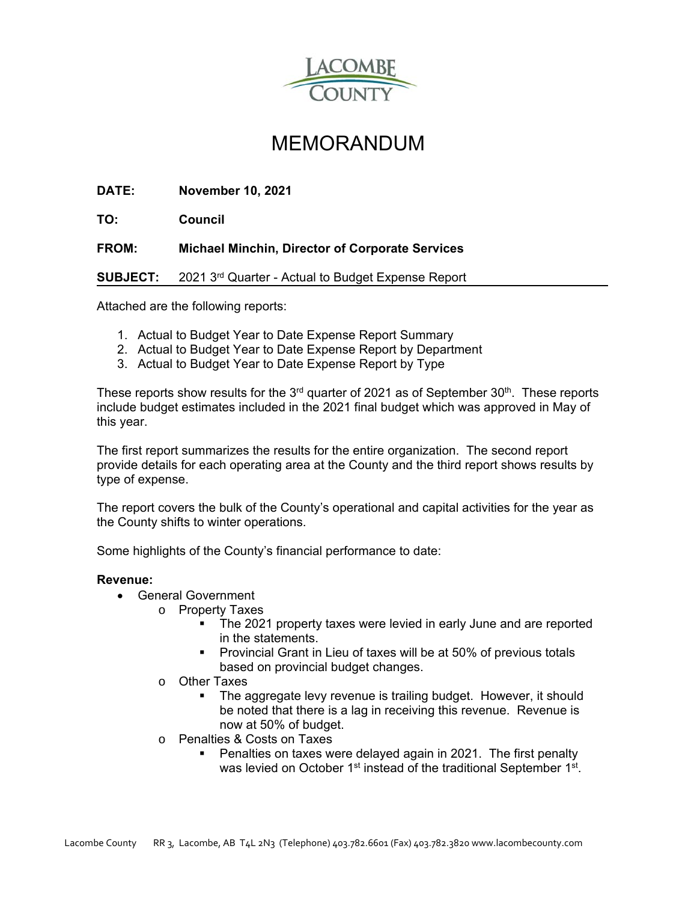

## MEMORANDUM

**DATE: November 10, 2021** 

**TO: Council** 

**FROM: Michael Minchin, Director of Corporate Services**

**SUBJECT:** 2021 3rd Quarter - Actual to Budget Expense Report

Attached are the following reports:

- 1. Actual to Budget Year to Date Expense Report Summary
- 2. Actual to Budget Year to Date Expense Report by Department
- 3. Actual to Budget Year to Date Expense Report by Type

These reports show results for the  $3<sup>rd</sup>$  quarter of 2021 as of September  $30<sup>th</sup>$ . These reports include budget estimates included in the 2021 final budget which was approved in May of this year.

The first report summarizes the results for the entire organization. The second report provide details for each operating area at the County and the third report shows results by type of expense.

The report covers the bulk of the County's operational and capital activities for the year as the County shifts to winter operations.

Some highlights of the County's financial performance to date:

## **Revenue:**

- General Government
	- o Property Taxes
		- The 2021 property taxes were levied in early June and are reported in the statements.
		- **Provincial Grant in Lieu of taxes will be at 50% of previous totals** based on provincial budget changes.
	- o Other Taxes
		- The aggregate levy revenue is trailing budget. However, it should be noted that there is a lag in receiving this revenue. Revenue is now at 50% of budget.
	- o Penalties & Costs on Taxes
		- Penalties on taxes were delayed again in 2021. The first penalty was levied on October 1<sup>st</sup> instead of the traditional September 1<sup>st</sup>.